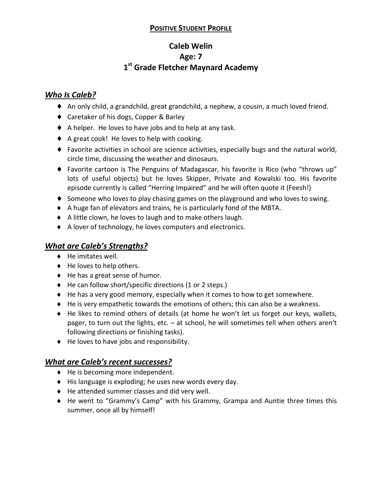## **POSITIVE STUDENT PROFILE**

# **Caleb Welin Age: 7 1st Grade Fletcher Maynard Academy**

## *Who Is Caleb?*

- ♦ An only child, a grandchild, great grandchild, a nephew, a cousin, a much loved friend.
- ♦ Caretaker of his dogs, Copper & Barley
- ♦ A helper. He loves to have jobs and to help at any task.
- ♦ A great cook! He loves to help with cooking.
- $\blacklozenge$  Favorite activities in school are science activities, especially bugs and the natural world, circle time, discussing the weather and dinosaurs.
- ♦ Favorite cartoon is The Penguins of Madagascar, his favorite is Rico (who "throws up" lots of useful objects) but he loves Skipper, Private and Kowalski too. His favorite episode currently is called "Herring Impaired" and he will often quote it (Feesh!)
- ♦ Someone who loves to play chasing games on the playground and who loves to swing.
- ♦ A huge fan of elevators and trains, he is particularly fond of the MBTA.
- ♦ A little clown, he loves to laugh and to make others laugh.
- ♦ A lover of technology, he loves computers and electronics.

# *What are Caleb's Strengths?*

- ♦ He imitates well.
- ♦ He loves to help others.
- ♦ He has a great sense of humor.
- ♦ He can follow short/specific directions (1 or 2 steps.)
- ♦ He has a very good memory, especially when it comes to how to get somewhere.
- $\blacklozenge$  He is very empathetic towards the emotions of others; this can also be a weakness.
- ♦ He likes to remind others of details (at home he won't let us forget our keys, wallets, pager, to turn out the lights, etc. – at school, he will sometimes tell when others aren't following directions or finishing tasks).
- ♦ He loves to have jobs and responsibility.

## *What are Caleb's recent successes?*

- ♦ He is becoming more independent.
- ♦ His language is exploding; he uses new words every day.
- ♦ He attended summer classes and did very well.
- ♦ He went to "Grammy's Camp" with his Grammy, Grampa and Auntie three times this summer, once all by himself!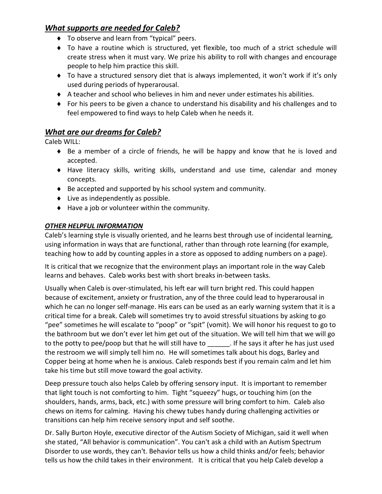## *What supports are needed for Caleb?*

- ♦ To observe and learn from "typical" peers.
- ♦ To have a routine which is structured, yet flexible, too much of a strict schedule will create stress when it must vary. We prize his ability to roll with changes and encourage people to help him practice this skill.
- ♦ To have a structured sensory diet that is always implemented, it won't work if it's only used during periods of hyperarousal.
- ♦ A teacher and school who believes in him and never under estimates his abilities.
- ♦ For his peers to be given a chance to understand his disability and his challenges and to feel empowered to find ways to help Caleb when he needs it.

## *What are our dreams for Caleb?*

Caleb WILL:

- ♦ Be a member of a circle of friends, he will be happy and know that he is loved and accepted.
- ♦ Have literacy skills, writing skills, understand and use time, calendar and money concepts.
- ♦ Be accepted and supported by his school system and community.
- ♦ Live as independently as possible.
- ♦ Have a job or volunteer within the community.

#### *OTHER HELPFUL INFORMATION*

Caleb's learning style is visually oriented, and he learns best through use of incidental learning, using information in ways that are functional, rather than through rote learning (for example, teaching how to add by counting apples in a store as opposed to adding numbers on a page).

It is critical that we recognize that the environment plays an important role in the way Caleb learns and behaves. Caleb works best with short breaks in-between tasks.

Usually when Caleb is over-stimulated, his left ear will turn bright red. This could happen because of excitement, anxiety or frustration, any of the three could lead to hyperarousal in which he can no longer self-manage. His ears can be used as an early warning system that it is a critical time for a break. Caleb will sometimes try to avoid stressful situations by asking to go "pee" sometimes he will escalate to "poop" or "spit" (vomit). We will honor his request to go to the bathroom but we don't ever let him get out of the situation. We will tell him that we will go to the potty to pee/poop but that he will still have to the says it after he has just used the restroom we will simply tell him no. He will sometimes talk about his dogs, Barley and Copper being at home when he is anxious. Caleb responds best if you remain calm and let him take his time but still move toward the goal activity.

Deep pressure touch also helps Caleb by offering sensory input. It is important to remember that light touch is not comforting to him. Tight "squeezy" hugs, or touching him (on the shoulders, hands, arms, back, etc.) with some pressure will bring comfort to him. Caleb also chews on items for calming. Having his chewy tubes handy during challenging activities or transitions can help him receive sensory input and self soothe.

Dr. Sally Burton Hoyle, executive director of the Autism Society of Michigan, said it well when she stated, "All behavior is communication". You can't ask a child with an Autism Spectrum Disorder to use words, they can't. Behavior tells us how a child thinks and/or feels; behavior tells us how the child takes in their environment. It is critical that you help Caleb develop a